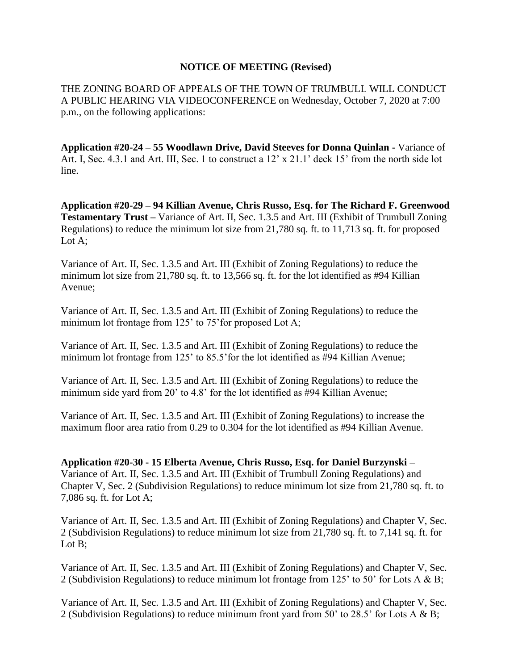## **NOTICE OF MEETING (Revised)**

THE ZONING BOARD OF APPEALS OF THE TOWN OF TRUMBULL WILL CONDUCT A PUBLIC HEARING VIA VIDEOCONFERENCE on Wednesday, October 7, 2020 at 7:00 p.m., on the following applications:

**Application #20-24 – 55 Woodlawn Drive, David Steeves for Donna Quinlan -** Variance of Art. I, Sec. 4.3.1 and Art. III, Sec. 1 to construct a  $12' \times 21.1'$  deck 15' from the north side lot line.

**Application #20-29 – 94 Killian Avenue, Chris Russo, Esq. for The Richard F. Greenwood Testamentary Trust –** Variance of Art. II, Sec. 1.3.5 and Art. III (Exhibit of Trumbull Zoning Regulations) to reduce the minimum lot size from 21,780 sq. ft. to 11,713 sq. ft. for proposed Lot A;

Variance of Art. II, Sec. 1.3.5 and Art. III (Exhibit of Zoning Regulations) to reduce the minimum lot size from 21,780 sq. ft. to 13,566 sq. ft. for the lot identified as #94 Killian Avenue;

Variance of Art. II, Sec. 1.3.5 and Art. III (Exhibit of Zoning Regulations) to reduce the minimum lot frontage from 125' to 75' for proposed Lot A;

Variance of Art. II, Sec. 1.3.5 and Art. III (Exhibit of Zoning Regulations) to reduce the minimum lot frontage from 125' to 85.5'for the lot identified as #94 Killian Avenue;

Variance of Art. II, Sec. 1.3.5 and Art. III (Exhibit of Zoning Regulations) to reduce the minimum side yard from 20' to 4.8' for the lot identified as #94 Killian Avenue;

Variance of Art. II, Sec. 1.3.5 and Art. III (Exhibit of Zoning Regulations) to increase the maximum floor area ratio from 0.29 to 0.304 for the lot identified as #94 Killian Avenue.

**Application #20-30 - 15 Elberta Avenue, Chris Russo, Esq. for Daniel Burzynski –** Variance of Art. II, Sec. 1.3.5 and Art. III (Exhibit of Trumbull Zoning Regulations) and Chapter V, Sec. 2 (Subdivision Regulations) to reduce minimum lot size from 21,780 sq. ft. to 7,086 sq. ft. for Lot A;

Variance of Art. II, Sec. 1.3.5 and Art. III (Exhibit of Zoning Regulations) and Chapter V, Sec. 2 (Subdivision Regulations) to reduce minimum lot size from 21,780 sq. ft. to 7,141 sq. ft. for Lot B:

Variance of Art. II, Sec. 1.3.5 and Art. III (Exhibit of Zoning Regulations) and Chapter V, Sec. 2 (Subdivision Regulations) to reduce minimum lot frontage from 125' to 50' for Lots A & B;

Variance of Art. II, Sec. 1.3.5 and Art. III (Exhibit of Zoning Regulations) and Chapter V, Sec. 2 (Subdivision Regulations) to reduce minimum front yard from 50' to 28.5' for Lots A & B;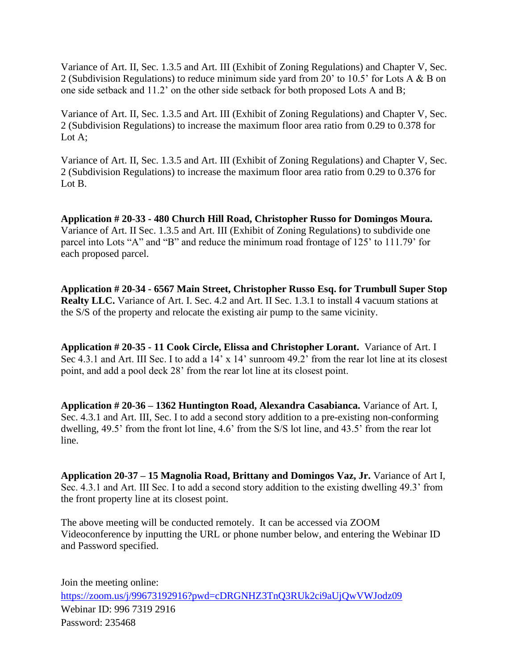Variance of Art. II, Sec. 1.3.5 and Art. III (Exhibit of Zoning Regulations) and Chapter V, Sec. 2 (Subdivision Regulations) to reduce minimum side yard from 20' to 10.5' for Lots A & B on one side setback and 11.2' on the other side setback for both proposed Lots A and B;

Variance of Art. II, Sec. 1.3.5 and Art. III (Exhibit of Zoning Regulations) and Chapter V, Sec. 2 (Subdivision Regulations) to increase the maximum floor area ratio from 0.29 to 0.378 for Lot A:

Variance of Art. II, Sec. 1.3.5 and Art. III (Exhibit of Zoning Regulations) and Chapter V, Sec. 2 (Subdivision Regulations) to increase the maximum floor area ratio from 0.29 to 0.376 for Lot B.

**Application # 20-33 - 480 Church Hill Road, Christopher Russo for Domingos Moura.**  Variance of Art. II Sec. 1.3.5 and Art. III (Exhibit of Zoning Regulations) to subdivide one parcel into Lots "A" and "B" and reduce the minimum road frontage of 125' to 111.79' for each proposed parcel.

**Application # 20-34 - 6567 Main Street, Christopher Russo Esq. for Trumbull Super Stop Realty LLC.** Variance of Art. I. Sec. 4.2 and Art. II Sec. 1.3.1 to install 4 vacuum stations at the S/S of the property and relocate the existing air pump to the same vicinity.

**Application # 20-35 - 11 Cook Circle, Elissa and Christopher Lorant.** Variance of Art. I Sec 4.3.1 and Art. III Sec. I to add a 14' x 14' sunroom 49.2' from the rear lot line at its closest point, and add a pool deck 28' from the rear lot line at its closest point.

**Application # 20-36 – 1362 Huntington Road, Alexandra Casabianca.** Variance of Art. I, Sec. 4.3.1 and Art. III, Sec. I to add a second story addition to a pre-existing non-conforming dwelling, 49.5' from the front lot line, 4.6' from the S/S lot line, and 43.5' from the rear lot line.

**Application 20-37 – 15 Magnolia Road, Brittany and Domingos Vaz, Jr.** Variance of Art I, Sec. 4.3.1 and Art. III Sec. I to add a second story addition to the existing dwelling 49.3' from the front property line at its closest point.

The above meeting will be conducted remotely. It can be accessed via ZOOM Videoconference by inputting the URL or phone number below, and entering the Webinar ID and Password specified.

Join the meeting online: <https://zoom.us/j/99673192916?pwd=cDRGNHZ3TnQ3RUk2ci9aUjQwVWJodz09> Webinar ID: 996 7319 2916 Password: 235468